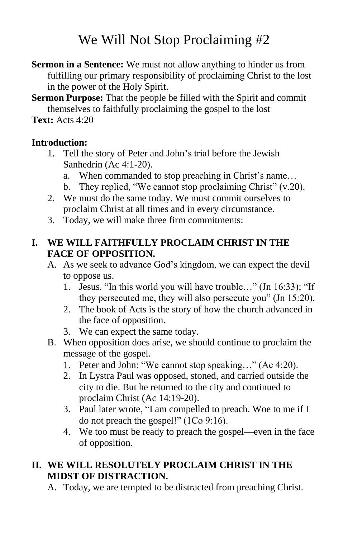# We Will Not Stop Proclaiming #2

- **Sermon in a Sentence:** We must not allow anything to hinder us from fulfilling our primary responsibility of proclaiming Christ to the lost in the power of the Holy Spirit.
- **Sermon Purpose:** That the people be filled with the Spirit and commit themselves to faithfully proclaiming the gospel to the lost

**Text:** Acts 4:20

## **Introduction:**

- 1. Tell the story of Peter and John's trial before the Jewish Sanhedrin (Ac 4:1-20).
	- a. When commanded to stop preaching in Christ's name…
	- b. They replied, "We cannot stop proclaiming Christ" (v.20).
- 2. We must do the same today. We must commit ourselves to proclaim Christ at all times and in every circumstance.
- 3. Today, we will make three firm commitments:

#### **I. WE WILL FAITHFULLY PROCLAIM CHRIST IN THE FACE OF OPPOSITION.**

- A. As we seek to advance God's kingdom, we can expect the devil to oppose us.
	- 1. Jesus. "In this world you will have trouble…" (Jn 16:33); "If they persecuted me, they will also persecute you" (Jn 15:20).
	- 2. The book of Acts is the story of how the church advanced in the face of opposition.
	- 3. We can expect the same today.
- B. When opposition does arise, we should continue to proclaim the message of the gospel.
	- 1. Peter and John: "We cannot stop speaking…" (Ac 4:20).
	- 2. In Lystra Paul was opposed, stoned, and carried outside the city to die. But he returned to the city and continued to proclaim Christ (Ac 14:19-20).
	- 3. Paul later wrote, "I am compelled to preach. Woe to me if I do not preach the gospel!" (1Co 9:16).
	- 4. We too must be ready to preach the gospel—even in the face of opposition.

## **II. WE WILL RESOLUTELY PROCLAIM CHRIST IN THE MIDST OF DISTRACTION.**

A. Today, we are tempted to be distracted from preaching Christ.